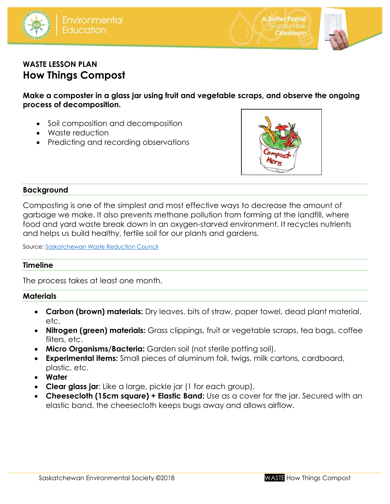





# **WASTE LESSON PLAN How Things Compost**

**Make a composter in a glass jar using fruit and vegetable scraps, and observe the ongoing process of decomposition.**

- Soil composition and decomposition
- Waste reduction
- Predicting and recording observations



## **Background**

Composting is one of the simplest and most effective ways to decrease the amount of garbage we make. It also prevents methane pollution from forming at the landfill, where food and yard waste break down in an oxygen-starved environment. It recycles nutrients and helps us build healthy, fertile soil for our plants and gardens.

Source: [Saskatchewan Waste Reduction Council](http://www.saskwastereduction.ca/)

#### **Timeline**

The process takes at least one month.

#### **Materials**

- **Carbon (brown) materials:** Dry leaves, bits of straw, paper towel, dead plant material, etc.
- **Nitrogen (green) materials:** Grass clippings, fruit or vegetable scraps, tea bags, coffee filters, etc.
- **Micro Organisms/Bacteria:** Garden soil (not sterile potting soil).
- **Experimental items:** Small pieces of aluminum foil, twigs, milk cartons, cardboard, plastic, etc.
- **Water**
- **Clear glass jar**: Like a large, pickle jar (1 for each group).
- **Cheesecloth (15cm square) + Elastic Band:** Use as a cover for the jar. Secured with an elastic band, the cheesecloth keeps bugs away and allows airflow.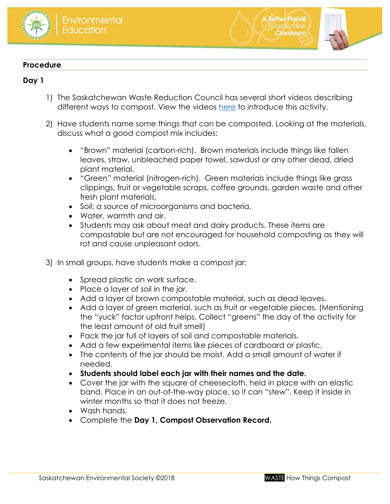



**A Better Planet** Beains in the

**Classroom** 

### **Procedure**

# **Day 1**

- 1) The Saskatchewan Waste Reduction Council has several short videos describing different ways to compost. View the videos [here](http://www.saskwastereduction.ca/recycle/resources/composting/) to introduce this activity.
- 2) Have students name some things that can be composted. Looking at the materials, discuss what a good compost mix includes:
	- "Brown" material (carbon-rich). Brown materials include things like fallen leaves, straw, unbleached paper towel, sawdust or any other dead, dried plant material.
	- "Green" material (nitrogen-rich). Green materials include things like grass clippings, fruit or vegetable scraps, coffee grounds, garden waste and other fresh plant materials.
	- Soil: a source of microorganisms and bacteria.
	- Water, warmth and air.
	- Students may ask about meat and dairy products. These items are compostable but are not encouraged for household composting as they will rot and cause unpleasant odors.
- 3) In small groups, have students make a compost jar:
	- Spread plastic on work surface.
	- Place a layer of soil in the jar.
	- Add a layer of brown compostable material, such as dead leaves.
	- Add a layer of green material, such as fruit or vegetable pieces. (Mentioning the "yuck" factor upfront helps. Collect "greens" the day of the activity for the least amount of old fruit smell)
	- Pack the jar full of layers of soil and compostable materials.
	- Add a few experimental items like pieces of cardboard or plastic.
	- The contents of the jar should be moist. Add a small amount of water if needed.
	- **Students should label each jar with their names and the date.**
	- Cover the jar with the square of cheesecloth, held in place with an elastic band. Place in an out-of-the-way place, so it can "stew". Keep it inside in winter months so that it does not freeze.
	- Wash hands.
	- Complete the **Day 1, Compost Observation Record.**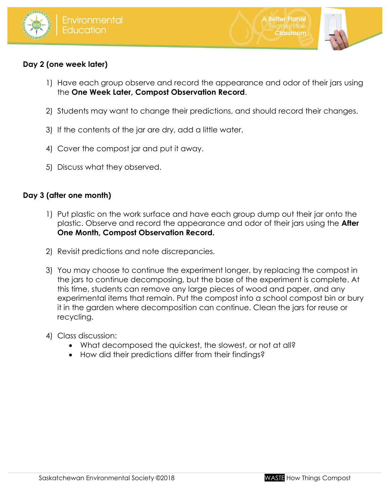



# **Day 2 (one week later)**

- 1) Have each group observe and record the appearance and odor of their jars using the **One Week Later, Compost Observation Record**.
- 2) Students may want to change their predictions, and should record their changes.
- 3) If the contents of the jar are dry, add a little water.
- 4) Cover the compost jar and put it away.
- 5) Discuss what they observed.

# **Day 3 (after one month)**

- 1) Put plastic on the work surface and have each group dump out their jar onto the plastic. Observe and record the appearance and odor of their jars using the **After One Month, Compost Observation Record.**
- 2) Revisit predictions and note discrepancies.
- 3) You may choose to continue the experiment longer, by replacing the compost in the jars to continue decomposing, but the base of the experiment is complete. At this time, students can remove any large pieces of wood and paper, and any experimental items that remain. Put the compost into a school compost bin or bury it in the garden where decomposition can continue. Clean the jars for reuse or recycling.
- 4) Class discussion:
	- What decomposed the quickest, the slowest, or not at all?
	- How did their predictions differ from their findings?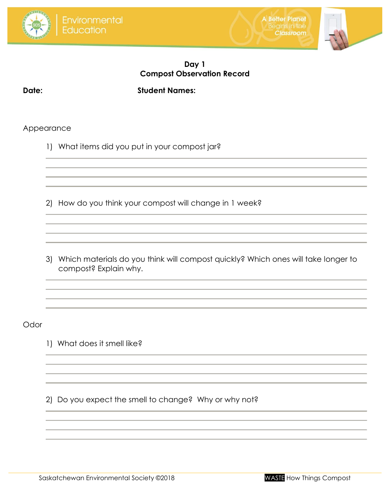





# **Day 1 Compost Observation Record**

**Date: Student Names:** 

## Appearance

1) What items did you put in your compost jar?

2) How do you think your compost will change in 1 week?

3) Which materials do you think will compost quickly? Which ones will take longer to compost? Explain why.

Odor

1) What does it smell like?

2) Do you expect the smell to change? Why or why not?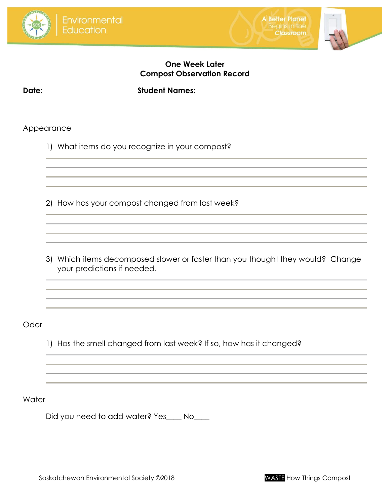





# **One Week Later Compost Observation Record**

**Date: Student Names:**

## Appearance

1) What items do you recognize in your compost?

2) How has your compost changed from last week?

3) Which items decomposed slower or faster than you thought they would? Change your predictions if needed.

**Odor** 

1) Has the smell changed from last week? If so, how has it changed?

**Water** 

Did you need to add water? Yes\_\_\_\_ No\_\_\_\_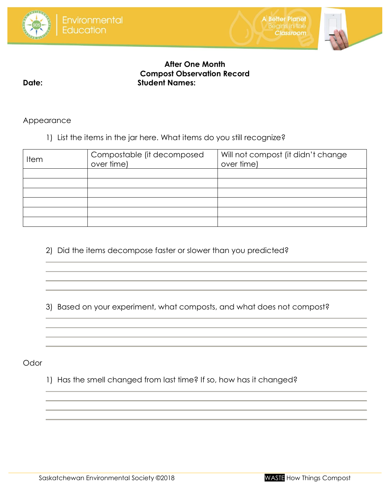





# **After One Month Compost Observation Record Date: Student Names:**

Appearance

1) List the items in the jar here. What items do you still recognize?

| <b>Item</b> | Compostable (it decomposed<br>over time) | Will not compost (it didn't change<br>over time) |
|-------------|------------------------------------------|--------------------------------------------------|
|             |                                          |                                                  |
|             |                                          |                                                  |
|             |                                          |                                                  |
|             |                                          |                                                  |
|             |                                          |                                                  |
|             |                                          |                                                  |

2) Did the items decompose faster or slower than you predicted?

3) Based on your experiment, what composts, and what does not compost?

**Odor** 

1) Has the smell changed from last time? If so, how has it changed?